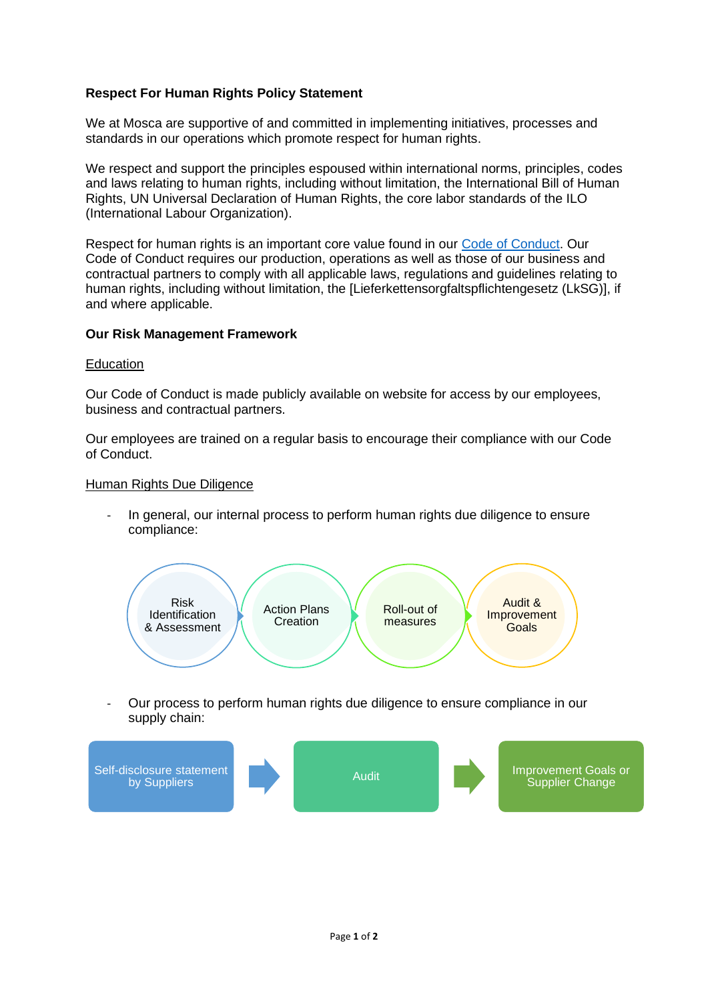## **Respect For Human Rights Policy Statement**

We at Mosca are supportive of and committed in implementing initiatives, processes and standards in our operations which promote respect for human rights.

We respect and support the principles espoused within international norms, principles, codes and laws relating to human rights, including without limitation, the International Bill of Human Rights, UN Universal Declaration of Human Rights, the core labor standards of the ILO (International Labour Organization).

Respect for human rights is an important core value found in our Code of Conduct. Our Code of Conduct requires our production, operations as well as those of our business and contractual partners to comply with all applicable laws, regulations and guidelines relating to human rights, including without limitation, the [Lieferkettensorgfaltspflichtengesetz (LkSG)], if and where applicable.

## **Our Risk Management Framework**

## Education

Our Code of Conduct is made publicly available on website for access by our employees, business and contractual partners.

Our employees are trained on a regular basis to encourage their compliance with our Code of Conduct.

## Human Rights Due Diligence

- In general, our internal process to perform human rights due diligence to ensure compliance:



- Our process to perform human rights due diligence to ensure compliance in our supply chain: